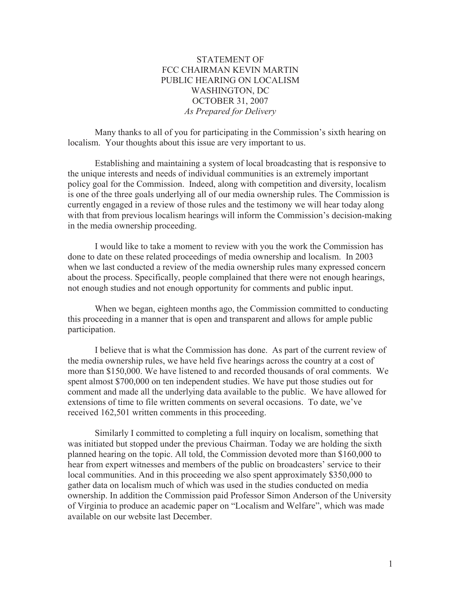## STATEMENT OF FCC CHAIRMAN KEVIN MARTIN PUBLIC HEARING ON LOCALISM WASHINGTON, DC OCTOBER 31, 2007 *As Prepared for Delivery*

Many thanks to all of you for participating in the Commission's sixth hearing on localism. Your thoughts about this issue are very important to us.

Establishing and maintaining a system of local broadcasting that is responsive to the unique interests and needs of individual communities is an extremely important policy goal for the Commission. Indeed, along with competition and diversity, localism is one of the three goals underlying all of our media ownership rules. The Commission is currently engaged in a review of those rules and the testimony we will hear today along with that from previous localism hearings will inform the Commission's decision-making in the media ownership proceeding.

I would like to take a moment to review with you the work the Commission has done to date on these related proceedings of media ownership and localism. In 2003 when we last conducted a review of the media ownership rules many expressed concern about the process. Specifically, people complained that there were not enough hearings, not enough studies and not enough opportunity for comments and public input.

When we began, eighteen months ago, the Commission committed to conducting this proceeding in a manner that is open and transparent and allows for ample public participation.

I believe that is what the Commission has done. As part of the current review of the media ownership rules, we have held five hearings across the country at a cost of more than \$150,000. We have listened to and recorded thousands of oral comments. We spent almost \$700,000 on ten independent studies. We have put those studies out for comment and made all the underlying data available to the public. We have allowed for extensions of time to file written comments on several occasions. To date, we've received 162,501 written comments in this proceeding.

Similarly I committed to completing a full inquiry on localism, something that was initiated but stopped under the previous Chairman. Today we are holding the sixth planned hearing on the topic. All told, the Commission devoted more than \$160,000 to hear from expert witnesses and members of the public on broadcasters' service to their local communities. And in this proceeding we also spent approximately \$350,000 to gather data on localism much of which was used in the studies conducted on media ownership. In addition the Commission paid Professor Simon Anderson of the University of Virginia to produce an academic paper on "Localism and Welfare", which was made available on our website last December.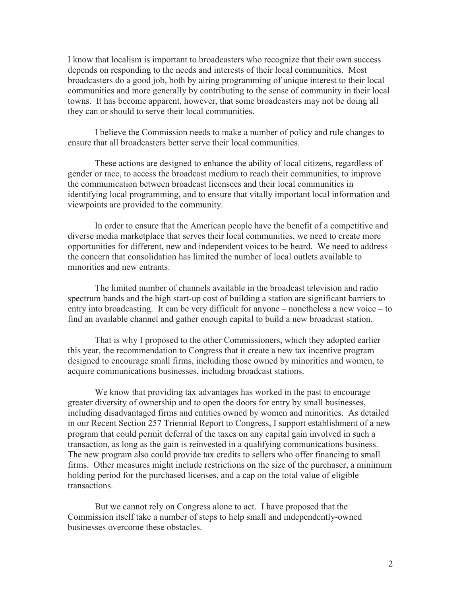I know that localism is important to broadcasters who recognize that their own success depends on responding to the needs and interests of their local communities. Most broadcasters do a good job, both by airing programming of unique interest to their local communities and more generally by contributing to the sense of community in their local towns. It has become apparent, however, that some broadcasters may not be doing all they can or should to serve their local communities.

I believe the Commission needs to make a number of policy and rule changes to ensure that all broadcasters better serve their local communities.

These actions are designed to enhance the ability of local citizens, regardless of gender or race, to access the broadcast medium to reach their communities, to improve the communication between broadcast licensees and their local communities in identifying local programming, and to ensure that vitally important local information and viewpoints are provided to the community.

In order to ensure that the American people have the benefit of a competitive and diverse media marketplace that serves their local communities, we need to create more opportunities for different, new and independent voices to be heard. We need to address the concern that consolidation has limited the number of local outlets available to minorities and new entrants.

The limited number of channels available in the broadcast television and radio spectrum bands and the high start-up cost of building a station are significant barriers to entry into broadcasting. It can be very difficult for anyone – nonetheless a new voice – to find an available channel and gather enough capital to build a new broadcast station.

That is why I proposed to the other Commissioners, which they adopted earlier this year, the recommendation to Congress that it create a new tax incentive program designed to encourage small firms, including those owned by minorities and women, to acquire communications businesses, including broadcast stations.

We know that providing tax advantages has worked in the past to encourage greater diversity of ownership and to open the doors for entry by small businesses, including disadvantaged firms and entities owned by women and minorities. As detailed in our Recent Section 257 Triennial Report to Congress, I support establishment of a new program that could permit deferral of the taxes on any capital gain involved in such a transaction, as long as the gain is reinvested in a qualifying communications business. The new program also could provide tax credits to sellers who offer financing to small firms. Other measures might include restrictions on the size of the purchaser, a minimum holding period for the purchased licenses, and a cap on the total value of eligible transactions.

But we cannot rely on Congress alone to act. I have proposed that the Commission itself take a number of steps to help small and independently-owned businesses overcome these obstacles.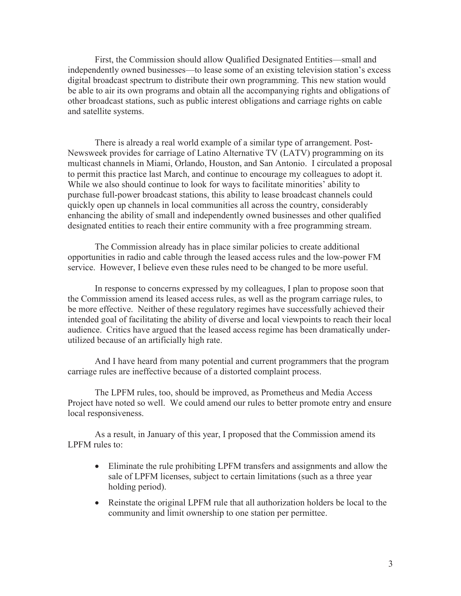First, the Commission should allow Qualified Designated Entities—small and independently owned businesses—to lease some of an existing television station's excess digital broadcast spectrum to distribute their own programming. This new station would be able to air its own programs and obtain all the accompanying rights and obligations of other broadcast stations, such as public interest obligations and carriage rights on cable and satellite systems.

There is already a real world example of a similar type of arrangement. Post-Newsweek provides for carriage of Latino Alternative TV (LATV) programming on its multicast channels in Miami, Orlando, Houston, and San Antonio. I circulated a proposal to permit this practice last March, and continue to encourage my colleagues to adopt it. While we also should continue to look for ways to facilitate minorities' ability to purchase full-power broadcast stations, this ability to lease broadcast channels could quickly open up channels in local communities all across the country, considerably enhancing the ability of small and independently owned businesses and other qualified designated entities to reach their entire community with a free programming stream.

The Commission already has in place similar policies to create additional opportunities in radio and cable through the leased access rules and the low-power FM service. However, I believe even these rules need to be changed to be more useful.

In response to concerns expressed by my colleagues, I plan to propose soon that the Commission amend its leased access rules, as well as the program carriage rules, to be more effective. Neither of these regulatory regimes have successfully achieved their intended goal of facilitating the ability of diverse and local viewpoints to reach their local audience. Critics have argued that the leased access regime has been dramatically underutilized because of an artificially high rate.

And I have heard from many potential and current programmers that the program carriage rules are ineffective because of a distorted complaint process.

The LPFM rules, too, should be improved, as Prometheus and Media Access Project have noted so well. We could amend our rules to better promote entry and ensure local responsiveness.

As a result, in January of this year, I proposed that the Commission amend its LPFM rules to:

- · Eliminate the rule prohibiting LPFM transfers and assignments and allow the sale of LPFM licenses, subject to certain limitations (such as a three year holding period).
- Reinstate the original LPFM rule that all authorization holders be local to the community and limit ownership to one station per permittee.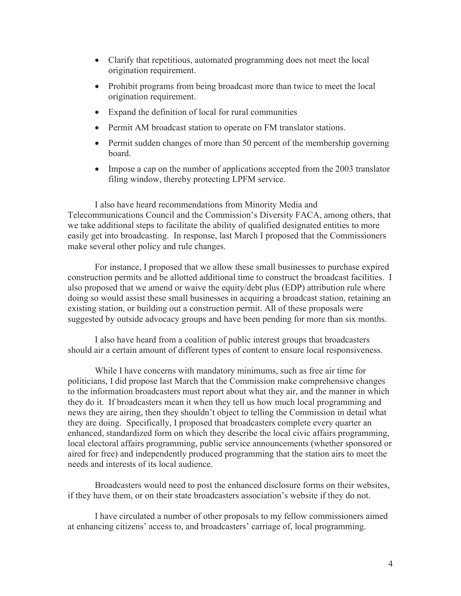- · Clarify that repetitious, automated programming does not meet the local origination requirement.
- Prohibit programs from being broadcast more than twice to meet the local origination requirement.
- Expand the definition of local for rural communities
- Permit AM broadcast station to operate on FM translator stations.
- Permit sudden changes of more than 50 percent of the membership governing board.
- Impose a cap on the number of applications accepted from the 2003 translator filing window, thereby protecting LPFM service.

I also have heard recommendations from Minority Media and Telecommunications Council and the Commission's Diversity FACA, among others, that we take additional steps to facilitate the ability of qualified designated entities to more easily get into broadcasting. In response, last March I proposed that the Commissioners make several other policy and rule changes.

For instance, I proposed that we allow these small businesses to purchase expired construction permits and be allotted additional time to construct the broadcast facilities. I also proposed that we amend or waive the equity/debt plus (EDP) attribution rule where doing so would assist these small businesses in acquiring a broadcast station, retaining an existing station, or building out a construction permit. All of these proposals were suggested by outside advocacy groups and have been pending for more than six months.

I also have heard from a coalition of public interest groups that broadcasters should air a certain amount of different types of content to ensure local responsiveness.

While I have concerns with mandatory minimums, such as free air time for politicians, I did propose last March that the Commission make comprehensive changes to the information broadcasters must report about what they air, and the manner in which they do it. If broadcasters mean it when they tell us how much local programming and news they are airing, then they shouldn't object to telling the Commission in detail what they are doing. Specifically, I proposed that broadcasters complete every quarter an enhanced, standardized form on which they describe the local civic affairs programming, local electoral affairs programming, public service announcements (whether sponsored or aired for free) and independently produced programming that the station airs to meet the needs and interests of its local audience.

Broadcasters would need to post the enhanced disclosure forms on their websites, if they have them, or on their state broadcasters association's website if they do not.

I have circulated a number of other proposals to my fellow commissioners aimed at enhancing citizens' access to, and broadcasters' carriage of, local programming.